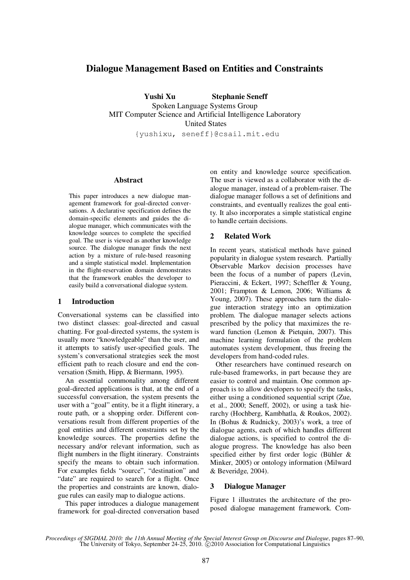# **Dialogue Management Based on Entities and Constraints**

 **Yushi Xu Stephanie Seneff** 

Spoken Language Systems Group MIT Computer Science and Artificial Intelligence Laboratory United States

{yushixu, seneff}@csail.mit.edu

### **Abstract**

This paper introduces a new dialogue management framework for goal-directed conversations. A declarative specification defines the domain-specific elements and guides the dialogue manager, which communicates with the knowledge sources to complete the specified goal. The user is viewed as another knowledge source. The dialogue manager finds the next action by a mixture of rule-based reasoning and a simple statistical model. Implementation in the flight-reservation domain demonstrates that the framework enables the developer to easily build a conversational dialogue system.

# **1 Introduction**

Conversational systems can be classified into two distinct classes: goal-directed and casual chatting. For goal-directed systems, the system is usually more "knowledgeable" than the user, and it attempts to satisfy user-specified goals. The system's conversational strategies seek the most efficient path to reach closure and end the conversation (Smith, Hipp, & Biermann, 1995).

 An essential commonality among different goal-directed applications is that, at the end of a successful conversation, the system presents the user with a "goal" entity, be it a flight itinerary, a route path, or a shopping order. Different conversations result from different properties of the goal entities and different constraints set by the knowledge sources. The properties define the necessary and/or relevant information, such as flight numbers in the flight itinerary. Constraints specify the means to obtain such information. For examples fields "source", "destination" and "date" are required to search for a flight. Once the properties and constraints are known, dialogue rules can easily map to dialogue actions.

 This paper introduces a dialogue management framework for goal-directed conversation based on entity and knowledge source specification. The user is viewed as a collaborator with the dialogue manager, instead of a problem-raiser. The dialogue manager follows a set of definitions and constraints, and eventually realizes the goal entity. It also incorporates a simple statistical engine to handle certain decisions.

# **2 Related Work**

In recent years, statistical methods have gained popularity in dialogue system research. Partially Observable Markov decision processes have been the focus of a number of papers (Levin, Pieraccini, & Eckert, 1997; Scheffler & Young, 2001; Frampton & Lemon, 2006; Williams & Young, 2007). These approaches turn the dialogue interaction strategy into an optimization problem. The dialogue manager selects actions prescribed by the policy that maximizes the reward function (Lemon & Pietquin, 2007). This machine learning formulation of the problem automates system development, thus freeing the developers from hand-coded rules.

 Other researchers have continued research on rule-based frameworks, in part because they are easier to control and maintain. One common approach is to allow developers to specify the tasks, either using a conditioned sequential script (Zue, et al., 2000; Seneff, 2002), or using a task hierarchy (Hochberg, Kambhatla, & Roukos, 2002). In (Bohus & Rudnicky, 2003)'s work, a tree of dialogue agents, each of which handles different dialogue actions, is specified to control the dialogue progress. The knowledge has also been specified either by first order logic (Bühler & Minker, 2005) or ontology information (Milward & Beveridge, 2004).

# **3 Dialogue Manager**

Figure 1 illustrates the architecture of the proposed dialogue management framework. Com-

*Proceedings of SIGDIAL 2010: the 11th Annual Meeting of the Special Interest Group on Discourse and Dialogue*, pages 87–90, The University of Tokyo, September 24-25, 2010.  $\odot$  2010 Association for Computational Linguistics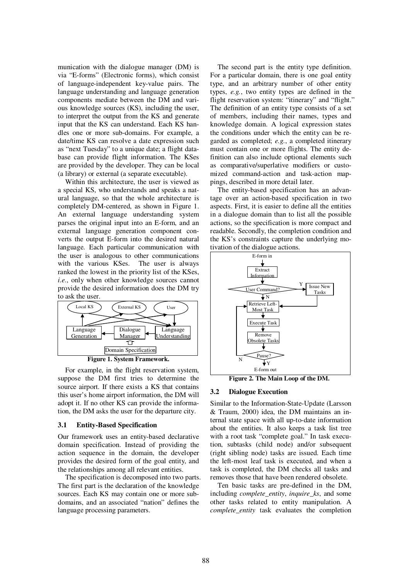munication with the dialogue manager (DM) is via "E-forms" (Electronic forms), which consist of language-independent key-value pairs. The language understanding and language generation components mediate between the DM and various knowledge sources (KS), including the user, to interpret the output from the KS and generate input that the KS can understand. Each KS handles one or more sub-domains. For example, a date/time KS can resolve a date expression such as "next Tuesday" to a unique date; a flight database can provide flight information. The KSes are provided by the developer. They can be local (a library) or external (a separate executable).

Within this architecture, the user is viewed as a special KS, who understands and speaks a natural language, so that the whole architecture is completely DM-centered, as shown in Figure 1. An external language understanding system parses the original input into an E-form, and an external language generation component converts the output E-form into the desired natural language. Each particular communication with the user is analogous to other communications with the various KSes. The user is always ranked the lowest in the priority list of the KSes, *i.e.*, only when other knowledge sources cannot provide the desired information does the DM try to ask the user.



For example, in the flight reservation system, suppose the DM first tries to determine the source airport. If there exists a KS that contains this user's home airport information, the DM will adopt it. If no other KS can provide the information, the DM asks the user for the departure city.

# **3.1 Entity-Based Specification**

Our framework uses an entity-based declarative domain specification. Instead of providing the action sequence in the domain, the developer provides the desired form of the goal entity, and the relationships among all relevant entities.

 The specification is decomposed into two parts. The first part is the declaration of the knowledge sources. Each KS may contain one or more subdomains, and an associated "nation" defines the language processing parameters.

 The second part is the entity type definition. For a particular domain, there is one goal entity type, and an arbitrary number of other entity types, *e.g.*, two entity types are defined in the flight reservation system: "itinerary" and "flight." The definition of an entity type consists of a set of members, including their names, types and knowledge domain. A logical expression states the conditions under which the entity can be regarded as completed; *e.g.*, a completed itinerary must contain one or more flights. The entity definition can also include optional elements such as comparative/superlative modifiers or customized command-action and task-action mappings, described in more detail later.

The entity-based specification has an advantage over an action-based specification in two aspects. First, it is easier to define all the entities in a dialogue domain than to list all the possible actions, so the specification is more compact and readable. Secondly, the completion condition and the KS's constraints capture the underlying motivation of the dialogue actions.



**Figure 2. The Main Loop of the DM.** 

#### **3.2 Dialogue Execution**

Similar to the Information-State-Update (Larsson & Traum, 2000) idea, the DM maintains an internal state space with all up-to-date information about the entities. It also keeps a task list tree with a root task "complete goal." In task execution, subtasks (child node) and/or subsequent (right sibling node) tasks are issued. Each time the left-most leaf task is executed, and when a task is completed, the DM checks all tasks and removes those that have been rendered obsolete.

 Ten basic tasks are pre-defined in the DM, including *complete\_entity*, *inquire\_ks*, and some other tasks related to entity manipulation. A *complete\_entity* task evaluates the completion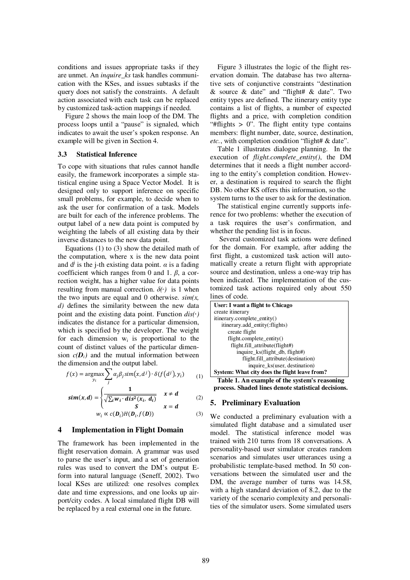conditions and issues appropriate tasks if they are unmet. An *inquire\_ks* task handles communication with the KSes, and issues subtasks if the query does not satisfy the constraints. A default action associated with each task can be replaced by customized task-action mappings if needed.

Figure 2 shows the main loop of the DM. The process loops until a "pause" is signaled, which indicates to await the user's spoken response. An example will be given in Section 4.

#### **3.3 Statistical Inference**

To cope with situations that rules cannot handle easily, the framework incorporates a simple statistical engine using a Space Vector Model. It is designed only to support inference on specific small problems, for example, to decide when to ask the user for confirmation of a task. Models are built for each of the inference problems. The output label of a new data point is computed by weighting the labels of all existing data by their inverse distances to the new data point.

 Equations (1) to (3) show the detailed math of the computation, where x is the new data point and  $d^j$  is the j-th existing data point.  $\alpha$  is a fading coefficient which ranges from 0 and 1. *β*, a correction weight, has a higher value for data points resulting from manual correction.  $\delta(\cdot)$  is 1 when the two inputs are equal and 0 otherwise.  $\sin(x)$ , *d)* defines the similarity between the new data point and the existing data point. Function *dis(*∙*)* indicates the distance for a particular dimension, which is specified by the developer. The weight for each dimension  $w_i$  is proportional to the count of distinct values of the particular dimension  $c(D_i)$  and the mutual information between the dimension and the output label.

$$
f(x) = \underset{y_i}{\text{argmax}} \sum_j \alpha_j \beta_j \text{sim}(x, d^j) \cdot \delta(f(d^j), y_i) \tag{1}
$$

$$
sim(x,d) = \begin{cases} \frac{1}{\sqrt{\sum_i w_i \cdot dis^2(x_i, d_i)}} & x \neq d \\ (2) & \end{cases}
$$

$$
\begin{array}{lll}\n\lambda & x = d \\
w_i \propto c(\mathbf{D}_i) H(\mathbf{D}_i, f(\mathbf{D}))\n\end{array} \tag{3}
$$

### **4 Implementation in Flight Domain**

The framework has been implemented in the flight reservation domain. A grammar was used to parse the user's input, and a set of generation rules was used to convert the DM's output Eform into natural language (Seneff, 2002). Two local KSes are utilized: one resolves complex date and time expressions, and one looks up airport/city codes. A local simulated flight DB will be replaced by a real external one in the future.

 Figure 3 illustrates the logic of the flight reservation domain. The database has two alternative sets of conjunctive constraints "destination & source & date" and "flight# & date". Two entity types are defined. The itinerary entity type contains a list of flights, a number of expected flights and a price, with completion condition "#flights  $> 0$ ". The flight entity type contains members: flight number, date, source, destination, *etc.*, with completion condition "flight# & date".

 Table 1 illustrates dialogue planning. In the execution of *flight.complete\_entity()*, the DM determines that it needs a flight number according to the entity's completion condition. However, a destination is required to search the flight DB. No other KS offers this information, so the system turns to the user to ask for the destination.

 The statistical engine currently supports inference for two problems: whether the execution of a task requires the user's confirmation, and whether the pending list is in focus.

 Several customized task actions were defined for the domain. For example, after adding the first flight, a customized task action will automatically create a return flight with appropriate source and destination, unless a one-way trip has been indicated. The implementation of the customized task actions required only about 550 lines of code.

| User: I want a flight to Chicago              |
|-----------------------------------------------|
| create itinerary                              |
| itinerary.complete entity()                   |
| itinerary.add_entity(:flights)                |
| create flight                                 |
| flight.complete entity()                      |
| flight.fill_attribute(flight#)                |
| inquire_ks(flight_db, flight#)                |
| flight.fill_attribute(destination)            |
| inquire_ks(user, destination)                 |
| System: What city does the flight leave from? |

**Table 1. An example of the system's reasoning process. Shaded lines denote statistical decisions.**

# **5. Preliminary Evaluation**

We conducted a preliminary evaluation with a simulated flight database and a simulated user model. The statistical inference model was trained with 210 turns from 18 conversations. A personality-based user simulator creates random scenarios and simulates user utterances using a probabilistic template-based method. In 50 conversations between the simulated user and the DM, the average number of turns was 14.58, with a high standard deviation of 8.2, due to the variety of the scenario complexity and personalities of the simulator users. Some simulated users